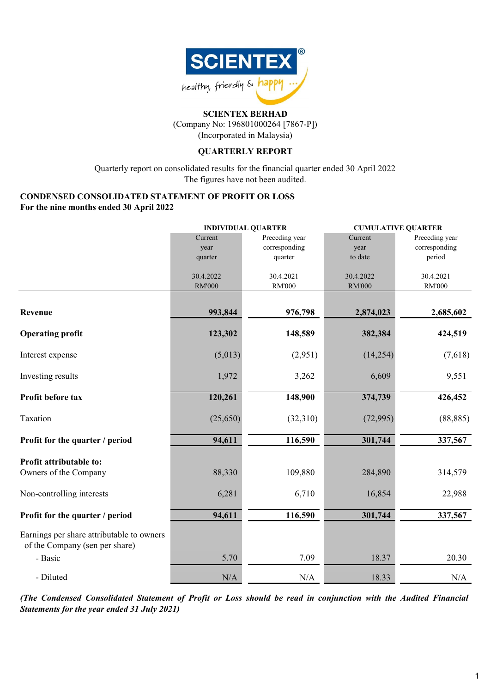

(Company No: 196801000264 [7867-P])

(Incorporated in Malaysia)

### **QUARTERLY REPORT**

Quarterly report on consolidated results for the financial quarter ended 30 April 2022 The figures have not been audited.

### **CONDENSED CONSOLIDATED STATEMENT OF PROFIT OR LOSS For the nine months ended 30 April 2022**

|                                                                             |                            | <b>INDIVIDUAL QUARTER</b>                  | <b>CUMULATIVE QUARTER</b>  |                                           |  |
|-----------------------------------------------------------------------------|----------------------------|--------------------------------------------|----------------------------|-------------------------------------------|--|
|                                                                             | Current<br>year<br>quarter | Preceding year<br>corresponding<br>quarter | Current<br>year<br>to date | Preceding year<br>corresponding<br>period |  |
|                                                                             | 30.4.2022<br><b>RM'000</b> | 30.4.2021<br><b>RM'000</b>                 | 30.4.2022<br><b>RM'000</b> | 30.4.2021<br><b>RM'000</b>                |  |
| Revenue                                                                     | 993,844                    | 976,798                                    | 2,874,023                  | 2,685,602                                 |  |
| <b>Operating profit</b>                                                     | 123,302                    | 148,589                                    | 382,384                    | 424,519                                   |  |
| Interest expense                                                            | (5,013)                    | (2,951)                                    | (14,254)                   | (7,618)                                   |  |
| Investing results                                                           | 1,972                      | 3,262                                      | 6,609                      | 9,551                                     |  |
| Profit before tax                                                           | 120,261                    | 148,900                                    | 374,739                    | 426,452                                   |  |
| Taxation                                                                    | (25,650)                   | (32,310)                                   | (72, 995)                  | (88, 885)                                 |  |
| Profit for the quarter / period                                             | 94,611                     | 116,590                                    | 301,744                    | 337,567                                   |  |
| Profit attributable to:<br>Owners of the Company                            | 88,330                     | 109,880                                    | 284,890                    | 314,579                                   |  |
| Non-controlling interests                                                   | 6,281                      | 6,710                                      | 16,854                     | 22,988                                    |  |
| Profit for the quarter / period                                             | 94,611                     | 116,590                                    | 301,744                    | 337,567                                   |  |
| Earnings per share attributable to owners<br>of the Company (sen per share) |                            |                                            |                            |                                           |  |
| - Basic                                                                     | 5.70                       | 7.09                                       | 18.37                      | 20.30                                     |  |
| - Diluted                                                                   | N/A                        | N/A                                        | 18.33                      | N/A                                       |  |

(The Condensed Consolidated Statement of Profit or Loss should be read in conjunction with the Audited Financial *Statements for the year ended 31 July 2021)*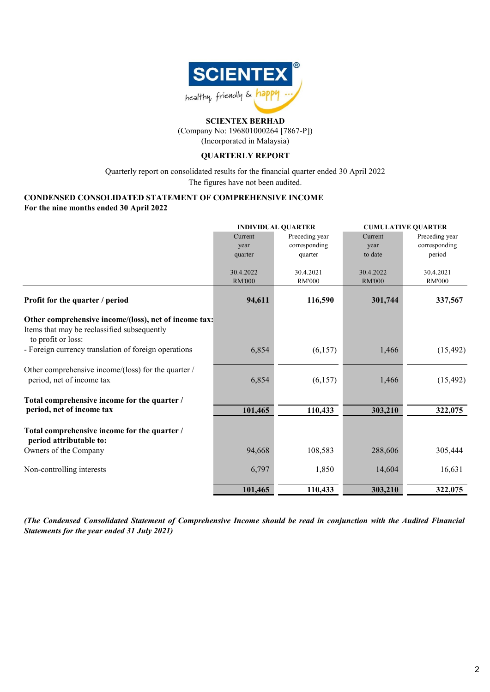

(Company No: 196801000264 [7867-P]) (Incorporated in Malaysia)

### **QUARTERLY REPORT**

The figures have not been audited. Quarterly report on consolidated results for the financial quarter ended 30 April 2022

### **CONDENSED CONSOLIDATED STATEMENT OF COMPREHENSIVE INCOME For the nine months ended 30 April 2022**

|                                                                         | <b>INDIVIDUAL QUARTER</b>  |                            |                            | <b>CUMULATIVE QUARTER</b>  |
|-------------------------------------------------------------------------|----------------------------|----------------------------|----------------------------|----------------------------|
|                                                                         | Current                    | Preceding year             | Current                    | Preceding year             |
|                                                                         | year                       | corresponding              | year                       | corresponding              |
|                                                                         | quarter                    | quarter                    | to date                    | period                     |
|                                                                         |                            |                            |                            |                            |
|                                                                         | 30.4.2022<br><b>RM'000</b> | 30.4.2021<br><b>RM'000</b> | 30.4.2022<br><b>RM'000</b> | 30.4.2021<br><b>RM'000</b> |
|                                                                         |                            |                            |                            |                            |
| Profit for the quarter / period                                         | 94,611                     | 116,590                    | 301,744                    | 337,567                    |
| Other comprehensive income/(loss), net of income tax:                   |                            |                            |                            |                            |
| Items that may be reclassified subsequently<br>to profit or loss:       |                            |                            |                            |                            |
| - Foreign currency translation of foreign operations                    | 6,854                      | (6,157)                    | 1,466                      | (15, 492)                  |
| Other comprehensive income/(loss) for the quarter /                     |                            |                            |                            |                            |
| period, net of income tax                                               | 6,854                      | (6,157)                    | 1,466                      | (15, 492)                  |
| Total comprehensive income for the quarter /                            |                            |                            |                            |                            |
| period, net of income tax                                               | 101,465                    | 110,433                    | 303,210                    | 322,075                    |
| Total comprehensive income for the quarter /<br>period attributable to: |                            |                            |                            |                            |
| Owners of the Company                                                   | 94,668                     | 108,583                    | 288,606                    | 305,444                    |
| Non-controlling interests                                               | 6,797                      | 1,850                      | 14,604                     | 16,631                     |
|                                                                         | 101,465                    | 110,433                    | 303,210                    | 322,075                    |

(The Condensed Consolidated Statement of Comprehensive Income should be read in conjunction with the Audited Financial *Statements for the year ended 31 July 2021)*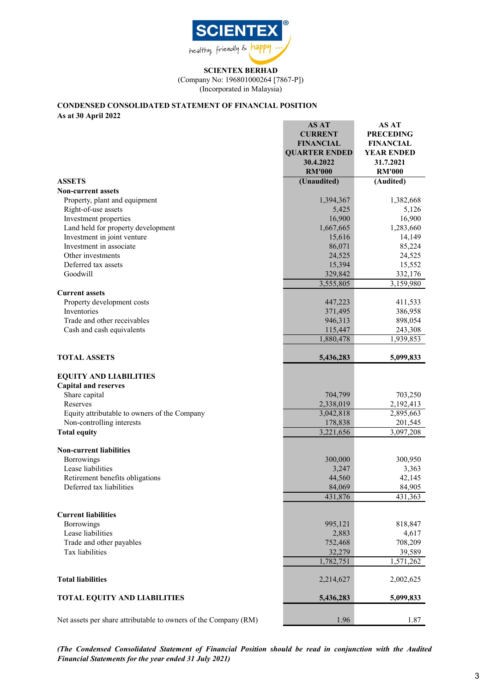

(Company No: 196801000264 [7867-P])

(Incorporated in Malaysia)

## **CONDENSED CONSOLIDATED STATEMENT OF FINANCIAL POSITION**

**As at 30 April 2022**

|                                                                 | <b>AS AT</b>         | AS AT             |
|-----------------------------------------------------------------|----------------------|-------------------|
|                                                                 | <b>CURRENT</b>       | <b>PRECEDING</b>  |
|                                                                 | <b>FINANCIAL</b>     | <b>FINANCIAL</b>  |
|                                                                 | <b>QUARTER ENDED</b> | <b>YEAR ENDED</b> |
|                                                                 | 30.4.2022            | 31.7.2021         |
|                                                                 | <b>RM'000</b>        | <b>RM'000</b>     |
| <b>ASSETS</b>                                                   | (Unaudited)          | (Audited)         |
| <b>Non-current assets</b>                                       |                      |                   |
| Property, plant and equipment                                   | 1,394,367            | 1,382,668         |
| Right-of-use assets                                             | 5,425                | 5,126             |
| Investment properties                                           | 16,900               | 16,900            |
| Land held for property development                              | 1,667,665            | 1,283,660         |
| Investment in joint venture                                     | 15,616               | 14,149            |
| Investment in associate                                         |                      | 85,224            |
| Other investments                                               | 86,071<br>24,525     | 24,525            |
| Deferred tax assets                                             |                      |                   |
| Goodwill                                                        | 15,394               | 15,552            |
|                                                                 | 329,842              | 332,176           |
|                                                                 | 3,555,805            | 3,159,980         |
| <b>Current assets</b>                                           |                      |                   |
| Property development costs                                      | 447,223              | 411,533           |
| Inventories                                                     | 371,495              | 386,958           |
| Trade and other receivables                                     | 946,313              | 898,054           |
| Cash and cash equivalents                                       | 115,447              | 243,308           |
|                                                                 | 1,880,478            | 1,939,853         |
| <b>TOTAL ASSETS</b>                                             | 5,436,283            | 5,099,833         |
|                                                                 |                      |                   |
| <b>EQUITY AND LIABILITIES</b>                                   |                      |                   |
| <b>Capital and reserves</b>                                     |                      |                   |
| Share capital                                                   | 704,799              | 703,250           |
| Reserves                                                        | 2,338,019            | 2,192,413         |
| Equity attributable to owners of the Company                    | 3,042,818            | 2,895,663         |
| Non-controlling interests                                       | 178,838              | 201,545           |
| <b>Total equity</b>                                             | 3,221,656            | 3,097,208         |
| <b>Non-current liabilities</b>                                  |                      |                   |
| <b>Borrowings</b>                                               | 300,000              | 300,950           |
| Lease liabilities                                               | 3,247                | 3,363             |
| Retirement benefits obligations                                 | 44,560               | 42,145            |
| Deferred tax liabilities                                        | 84,069               | 84,905            |
|                                                                 | 431,876              | 431,363           |
|                                                                 |                      |                   |
| <b>Current liabilities</b>                                      |                      |                   |
| Borrowings                                                      | 995,121              | 818,847           |
| Lease liabilities                                               | 2,883                | 4,617             |
| Trade and other payables                                        | 752,468              | 708,209           |
| <b>Tax liabilities</b>                                          | 32,279               | 39,589            |
|                                                                 | 1,782,751            | 1,571,262         |
|                                                                 |                      |                   |
| <b>Total liabilities</b>                                        | 2,214,627            | 2,002,625         |
| <b>TOTAL EQUITY AND LIABILITIES</b>                             | 5,436,283            | 5,099,833         |
|                                                                 |                      |                   |
| Net assets per share attributable to owners of the Company (RM) | 1.96                 | 1.87              |

*(The Condensed Consolidated Statement of Financial Position should be read in conjunction with the Audited Financial Statements for the year ended 31 July 2021)*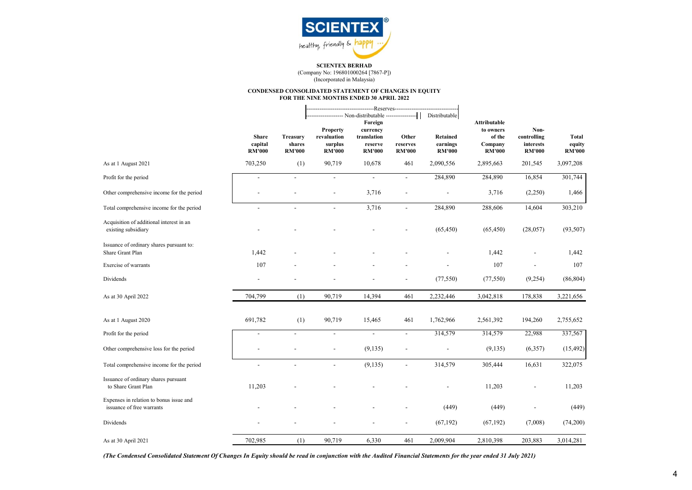

(Company No: 196801000264 [7867-P]) (Incorporated in Malaysia)

#### **CONDENSED CONSOLIDATED STATEMENT OF CHANGES IN EQUITY FOR THE NINE MONTHS ENDED 30 APRIL 2022**

|                                                                      | <b>Share</b><br>capital<br><b>RM'000</b> | <b>Treasury</b><br>shares<br><b>RM'000</b> | <b>Property</b><br>revaluation<br>surplus<br><b>RM'000</b> | ----------------Reserves----------------<br>Foreign<br>currency<br>translation<br>reserve<br><b>RM'000</b> | Other<br>reserves<br><b>RM'000</b> | Distributable<br><b>Retained</b><br>earnings<br><b>RM'000</b> | <b>Attributable</b><br>to owners<br>of the<br>Company<br><b>RM'000</b> | Non-<br>controlling<br>interests<br><b>RM'000</b> | <b>Total</b><br>equity<br><b>RM'000</b> |
|----------------------------------------------------------------------|------------------------------------------|--------------------------------------------|------------------------------------------------------------|------------------------------------------------------------------------------------------------------------|------------------------------------|---------------------------------------------------------------|------------------------------------------------------------------------|---------------------------------------------------|-----------------------------------------|
| As at 1 August 2021                                                  | 703,250                                  | (1)                                        | 90,719                                                     | 10,678                                                                                                     | 461                                | 2,090,556                                                     | 2,895,663                                                              | 201,545                                           | 3,097,208                               |
| Profit for the period                                                | $\overline{\phantom{a}}$                 | $\blacksquare$                             | $\overline{\phantom{a}}$                                   | $\overline{\phantom{a}}$                                                                                   | $\overline{\phantom{a}}$           | 284,890                                                       | 284,890                                                                | 16,854                                            | 301,744                                 |
| Other comprehensive income for the period                            |                                          |                                            |                                                            | 3,716                                                                                                      | $\blacksquare$                     |                                                               | 3,716                                                                  | (2,250)                                           | 1,466                                   |
| Total comprehensive income for the period                            | $\blacksquare$                           | $\blacksquare$                             | $\blacksquare$                                             | 3,716                                                                                                      | $\overline{\phantom{a}}$           | 284,890                                                       | 288,606                                                                | 14,604                                            | 303,210                                 |
| Acquisition of additional interest in an<br>existing subsidiary      |                                          |                                            |                                                            |                                                                                                            |                                    | (65, 450)                                                     | (65, 450)                                                              | (28,057)                                          | (93, 507)                               |
| Issuance of ordinary shares pursuant to:<br>Share Grant Plan         | 1,442                                    |                                            |                                                            |                                                                                                            |                                    |                                                               | 1,442                                                                  |                                                   | 1,442                                   |
| Exercise of warrants                                                 | 107                                      |                                            |                                                            |                                                                                                            |                                    |                                                               | 107                                                                    |                                                   | 107                                     |
| Dividends                                                            |                                          |                                            |                                                            |                                                                                                            |                                    | (77, 550)                                                     | (77, 550)                                                              | (9,254)                                           | (86, 804)                               |
| As at 30 April 2022                                                  | 704,799                                  | (1)                                        | 90,719                                                     | 14,394                                                                                                     | 461                                | 2,232,446                                                     | 3,042,818                                                              | 178,838                                           | 3,221,656                               |
| As at 1 August 2020                                                  | 691,782                                  | (1)                                        | 90,719                                                     | 15,465                                                                                                     | 461                                | 1,762,966                                                     | 2,561,392                                                              | 194,260                                           | 2,755,652                               |
| Profit for the period                                                | $\overline{a}$                           | $\overline{\phantom{a}}$                   | $\overline{\phantom{a}}$                                   | $\blacksquare$                                                                                             | $\overline{\phantom{a}}$           | 314,579                                                       | 314,579                                                                | 22,988                                            | 337,567                                 |
| Other comprehensive loss for the period                              |                                          |                                            |                                                            | (9,135)                                                                                                    |                                    | $\overline{a}$                                                | (9, 135)                                                               | (6,357)                                           | (15, 492)                               |
| Total comprehensive income for the period                            |                                          |                                            | $\overline{a}$                                             | (9, 135)                                                                                                   |                                    | 314,579                                                       | 305,444                                                                | 16,631                                            | 322,075                                 |
| Issuance of ordinary shares pursuant<br>to Share Grant Plan          | 11,203                                   |                                            |                                                            |                                                                                                            |                                    |                                                               | 11,203                                                                 | $\blacksquare$                                    | 11,203                                  |
| Expenses in relation to bonus issue and<br>issuance of free warrants |                                          |                                            |                                                            |                                                                                                            |                                    | (449)                                                         | (449)                                                                  |                                                   | (449)                                   |
| Dividends                                                            |                                          |                                            |                                                            |                                                                                                            |                                    | (67, 192)                                                     | (67, 192)                                                              | (7,008)                                           | (74,200)                                |
| As at 30 April 2021                                                  | 702,985                                  | (1)                                        | 90,719                                                     | 6,330                                                                                                      | 461                                | 2,009,904                                                     | 2,810,398                                                              | 203,883                                           | 3,014,281                               |

*(The Condensed Consolidated Statement Of Changes In Equity should be read in conjunction with the Audited Financial Statements for the year ended 31 July 2021)*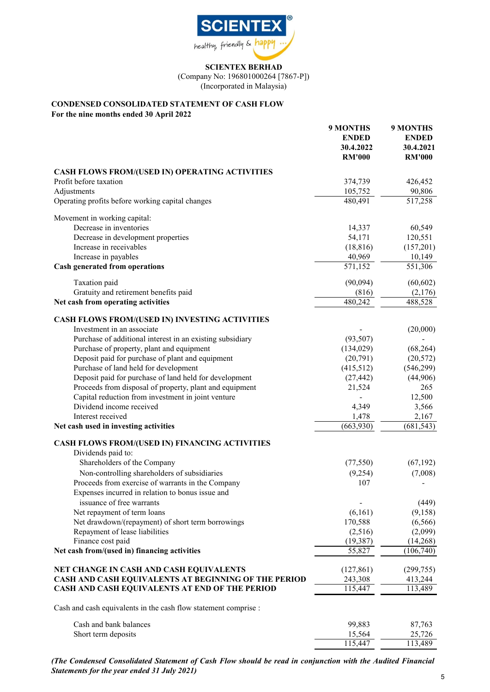

(Company No: 196801000264 [7867-P]) (Incorporated in Malaysia)

**9 MONTHS 9 MONTHS**

### **CONDENSED CONSOLIDATED STATEMENT OF CASH FLOW**

**For the nine months ended 30 April 2022**

|                                                                 | <u>EXIUNTED</u>      | <u>у мортнэ</u> |
|-----------------------------------------------------------------|----------------------|-----------------|
|                                                                 | <b>ENDED</b>         | <b>ENDED</b>    |
|                                                                 | 30.4.2022            | 30.4.2021       |
|                                                                 | <b>RM'000</b>        | <b>RM'000</b>   |
| <b>CASH FLOWS FROM/(USED IN) OPERATING ACTIVITIES</b>           |                      |                 |
| Profit before taxation                                          | 374,739              | 426,452         |
| Adjustments                                                     | 105,752              | 90,806          |
| Operating profits before working capital changes                | 480,491              | 517,258         |
|                                                                 |                      |                 |
| Movement in working capital:                                    |                      |                 |
| Decrease in inventories                                         | 14,337               | 60,549          |
| Decrease in development properties                              | 54,171               | 120,551         |
| Increase in receivables                                         | (18, 816)            | (157,201)       |
| Increase in payables                                            | 40,969               | 10,149          |
| <b>Cash generated from operations</b>                           | $\overline{571,152}$ | 551,306         |
| Taxation paid                                                   | (90,094)             | (60, 602)       |
| Gratuity and retirement benefits paid                           | (816)                | (2,176)         |
| Net cash from operating activities                              | 480,242              | 488,528         |
| CASH FLOWS FROM/(USED IN) INVESTING ACTIVITIES                  |                      |                 |
| Investment in an associate                                      |                      | (20,000)        |
| Purchase of additional interest in an existing subsidiary       | (93, 507)            |                 |
| Purchase of property, plant and equipment                       | (134, 029)           | (68, 264)       |
| Deposit paid for purchase of plant and equipment                | (20,791)             | (20, 572)       |
|                                                                 |                      |                 |
| Purchase of land held for development                           | (415,512)            | (546,299)       |
| Deposit paid for purchase of land held for development          | (27, 442)            | (44,906)        |
| Proceeds from disposal of property, plant and equipment         | 21,524               | 265             |
| Capital reduction from investment in joint venture              |                      | 12,500          |
| Dividend income received                                        | 4,349                | 3,566           |
| Interest received                                               | 1,478                | 2,167           |
| Net cash used in investing activities                           | (663,930)            | (681, 543)      |
| CASH FLOWS FROM/(USED IN) FINANCING ACTIVITIES                  |                      |                 |
| Dividends paid to:                                              |                      |                 |
| Shareholders of the Company                                     | (77, 550)            | (67, 192)       |
| Non-controlling shareholders of subsidiaries                    | (9,254)              | (7,008)         |
| Proceeds from exercise of warrants in the Company               | 107                  |                 |
| Expenses incurred in relation to bonus issue and                |                      |                 |
| issuance of free warrants                                       |                      | (449)           |
| Net repayment of term loans                                     | (6,161)              | (9, 158)        |
| Net drawdown/(repayment) of short term borrowings               | 170,588              | (6, 566)        |
| Repayment of lease liabilities                                  |                      |                 |
|                                                                 | (2,516)              | (2,099)         |
| Finance cost paid                                               | (19, 387)            | (14,268)        |
| Net cash from/(used in) financing activities                    | 55,827               | (106,740)       |
| NET CHANGE IN CASH AND CASH EQUIVALENTS                         | (127, 861)           | (299, 755)      |
| CASH AND CASH EQUIVALENTS AT BEGINNING OF THE PERIOD            | 243,308              | 413,244         |
| CASH AND CASH EQUIVALENTS AT END OF THE PERIOD                  | 115,447              | 113,489         |
| Cash and cash equivalents in the cash flow statement comprise : |                      |                 |
| Cash and bank balances                                          | 99,883               | 87,763          |
| Short term deposits                                             | 15,564               | 25,726          |
|                                                                 | 115,447              | 113,489         |
|                                                                 |                      |                 |

*(The Condensed Consolidated Statement of Cash Flow should be read in conjunction with the Audited Financial Statements for the year ended 31 July 2021)*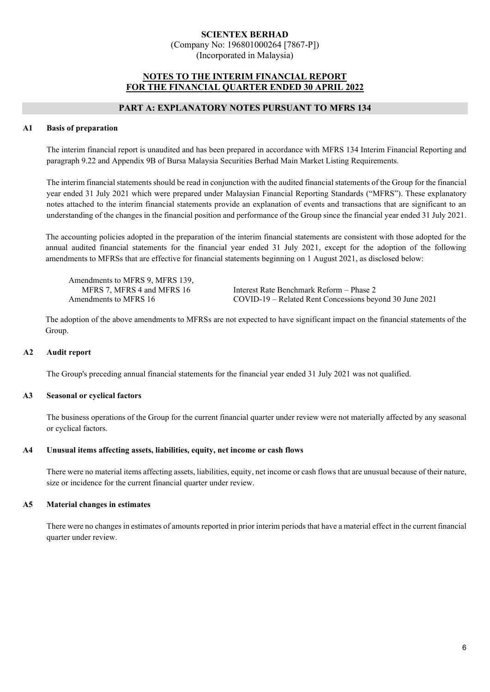(Company No: 196801000264 [7867-P]) (Incorporated in Malaysia)

### **NOTES TO THE INTERIM FINANCIAL REPORT FOR THE FINANCIAL QUARTER ENDED 30 APRIL 2022**

### **PART A: EXPLANATORY NOTES PURSUANT TO MFRS 134**

### **A1 Basis of preparation**

The interim financial report is unaudited and has been prepared in accordance with MFRS 134 Interim Financial Reporting and paragraph 9.22 and Appendix 9B of Bursa Malaysia Securities Berhad Main Market Listing Requirements.

The interim financial statements should be read in conjunction with the audited financial statements of the Group for the financial year ended 31 July 2021 which were prepared under Malaysian Financial Reporting Standards ("MFRS"). These explanatory notes attached to the interim financial statements provide an explanation of events and transactions that are significant to an understanding of the changes in the financial position and performance of the Group since the financial year ended 31 July 2021.

The accounting policies adopted in the preparation of the interim financial statements are consistent with those adopted for the annual audited financial statements for the financial year ended 31 July 2021, except for the adoption of the following amendments to MFRSs that are effective for financial statements beginning on 1 August 2021, as disclosed below:

Amendments to MFRS 9, MFRS 139,

MFRS 7, MFRS 4 and MFRS 16 Interest Rate Benchmark Reform – Phase 2 Amendments to MFRS 16 COVID-19 – Related Rent Concessions beyond 30 June 2021

The adoption of the above amendments to MFRSs are not expected to have significant impact on the financial statements of the Group.

### **A2 Audit report**

The Group's preceding annual financial statements for the financial year ended 31 July 2021 was not qualified.

#### **A3 Seasonal or cyclical factors**

The business operations of the Group for the current financial quarter under review were not materially affected by any seasonal or cyclical factors.

#### **A4 Unusual items affecting assets, liabilities, equity, net income or cash flows**

There were no material items affecting assets, liabilities, equity, net income or cash flows that are unusual because of their nature, size or incidence for the current financial quarter under review.

#### **A5 Material changes in estimates**

There were no changes in estimates of amounts reported in prior interim periods that have a material effect in the current financial quarter under review.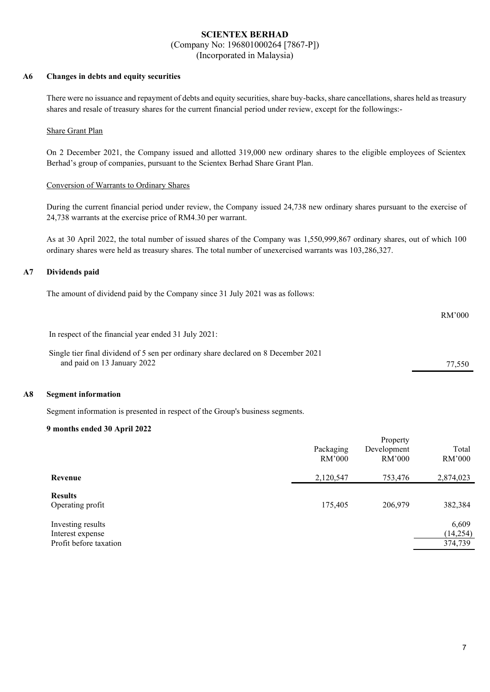(Company No: 196801000264 [7867-P])

(Incorporated in Malaysia)

#### **A6 Changes in debts and equity securities**

There were no issuance and repayment of debts and equity securities, share buy-backs, share cancellations, shares held as treasury shares and resale of treasury shares for the current financial period under review, except for the followings:-

#### Share Grant Plan

On 2 December 2021, the Company issued and allotted 319,000 new ordinary shares to the eligible employees of Scientex Berhad's group of companies, pursuant to the Scientex Berhad Share Grant Plan.

#### Conversion of Warrants to Ordinary Shares

During the current financial period under review, the Company issued 24,738 new ordinary shares pursuant to the exercise of 24,738 warrants at the exercise price of RM4.30 per warrant.

As at 30 April 2022, the total number of issued shares of the Company was 1,550,999,867 ordinary shares, out of which 100 ordinary shares were held as treasury shares. The total number of unexercised warrants was 103,286,327.

#### **A7 Dividends paid**

The amount of dividend paid by the Company since 31 July 2021 was as follows:

RM'000

In respect of the financial year ended 31 July 2021:

Single tier final dividend of 5 sen per ordinary share declared on 8 December 2021 and paid on 13 January 2022 77,550

#### **A8 Segment information**

Segment information is presented in respect of the Group's business segments.

#### **9 months ended 30 April 2022**

|                                                                 | Packaging<br>RM'000 | Property<br>Development<br>RM'000 | Total<br>RM'000               |
|-----------------------------------------------------------------|---------------------|-----------------------------------|-------------------------------|
| Revenue                                                         | 2,120,547           | 753,476                           | 2,874,023                     |
| <b>Results</b><br>Operating profit                              | 175,405             | 206,979                           | 382,384                       |
| Investing results<br>Interest expense<br>Profit before taxation |                     |                                   | 6,609<br>(14, 254)<br>374,739 |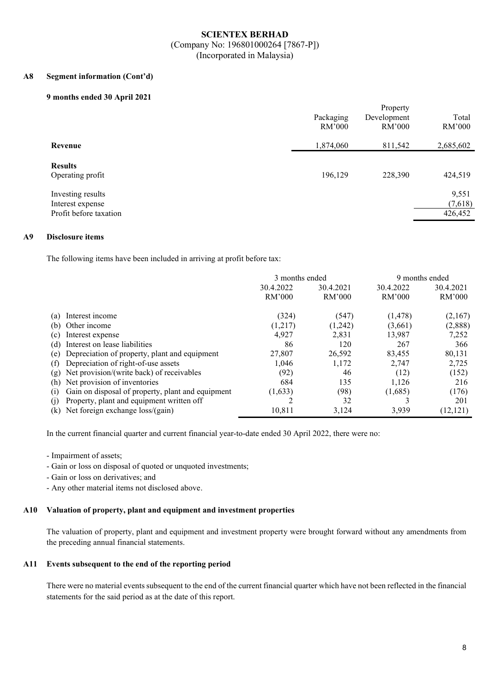#### **A8 Segment information (Cont'd)**

#### **9 months ended 30 April 2021**

|                                                                 | Packaging<br>RM'000 | Property<br>Development<br>RM'000 | Total<br>RM'000             |
|-----------------------------------------------------------------|---------------------|-----------------------------------|-----------------------------|
| Revenue                                                         | 1,874,060           | 811,542                           | 2,685,602                   |
| <b>Results</b><br>Operating profit                              | 196,129             | 228,390                           | 424,519                     |
| Investing results<br>Interest expense<br>Profit before taxation |                     |                                   | 9,551<br>(7,618)<br>426,452 |

#### **A9 Disclosure items**

The following items have been included in arriving at profit before tax:

|                                                          |           | 3 months ended<br>9 months ended |           |           |
|----------------------------------------------------------|-----------|----------------------------------|-----------|-----------|
|                                                          | 30.4.2022 | 30.4.2021                        | 30.4.2022 |           |
|                                                          | RM'000    | RM'000                           | RM'000    | RM'000    |
| Interest income<br>(a)                                   | (324)     | (547)                            | (1, 478)  | (2,167)   |
| Other income<br>(b)                                      | (1,217)   | (1,242)                          | (3,661)   | (2,888)   |
| Interest expense<br>(c)                                  | 4,927     | 2,831                            | 13,987    | 7,252     |
| Interest on lease liabilities<br>(d)                     | 86        | 120                              | 267       | 366       |
| Depreciation of property, plant and equipment<br>(e)     | 27,807    | 26,592                           | 83,455    | 80,131    |
| Depreciation of right-of-use assets<br>(f)               | 1,046     | 1,172                            | 2.747     | 2,725     |
| Net provision/(write back) of receivables<br>(g)         | (92)      | 46                               | (12)      | (152)     |
| (h) Net provision of inventories                         | 684       | 135                              | 1.126     | 216       |
| Gain on disposal of property, plant and equipment<br>(1) | (1,633)   | (98)                             | (1,685)   | (176)     |
| Property, plant and equipment written off<br>(1)         |           | 32                               |           | 201       |
| Net foreign exchange loss/(gain)<br>(k)                  | 10.811    | 3,124                            | 3,939     | (12, 121) |

In the current financial quarter and current financial year-to-date ended 30 April 2022, there were no:

- Impairment of assets;

- Gain or loss on disposal of quoted or unquoted investments;
- Gain or loss on derivatives; and
- Any other material items not disclosed above.

#### **A10 Valuation of property, plant and equipment and investment properties**

The valuation of property, plant and equipment and investment property were brought forward without any amendments from the preceding annual financial statements.

#### **A11 Events subsequent to the end of the reporting period**

There were no material events subsequent to the end of the current financial quarter which have not been reflected in the financial statements for the said period as at the date of this report.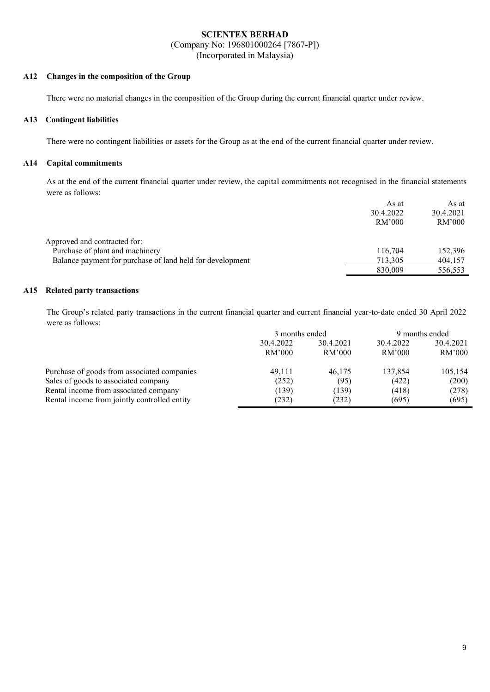(Company No: 196801000264 [7867-P])

(Incorporated in Malaysia)

#### **A12 Changes in the composition of the Group**

There were no material changes in the composition of the Group during the current financial quarter under review.

#### **A13 Contingent liabilities**

There were no contingent liabilities or assets for the Group as at the end of the current financial quarter under review.

### **A14 Capital commitments**

As at the end of the current financial quarter under review, the capital commitments not recognised in the financial statements were as follows:

|                                                           | As at     | As at     |
|-----------------------------------------------------------|-----------|-----------|
|                                                           | 30.4.2022 | 30.4.2021 |
|                                                           | RM'000    | RM'000    |
| Approved and contracted for:                              |           |           |
| Purchase of plant and machinery                           | 116,704   | 152,396   |
| Balance payment for purchase of land held for development | 713,305   | 404,157   |
|                                                           | 830,009   | 556,553   |

#### **A15 Related party transactions**

The Group's related party transactions in the current financial quarter and current financial year-to-date ended 30 April 2022 were as follows:

|                                              | 3 months ended |           | 9 months ended |           |  |
|----------------------------------------------|----------------|-----------|----------------|-----------|--|
|                                              | 30.4.2022      | 30.4.2021 | 30.4.2022      | 30.4.2021 |  |
|                                              | RM'000         | RM'000    | RM'000         | RM'000    |  |
| Purchase of goods from associated companies  | 49,111         | 46.175    | 137,854        | 105,154   |  |
| Sales of goods to associated company         | (252)          | (95)      | (422)          | (200)     |  |
| Rental income from associated company        | (139)          | (139)     | (418)          | (278)     |  |
| Rental income from jointly controlled entity | (232)          | (232)     | (695)          | (695)     |  |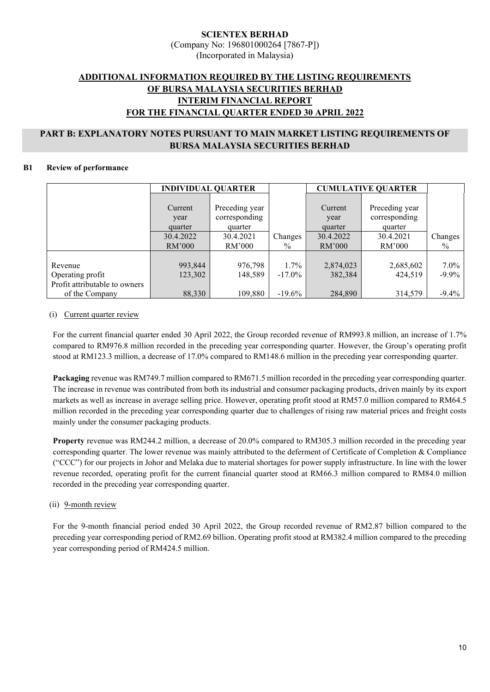## **ADDITIONAL INFORMATION REQUIRED BY THE LISTING REQUIREMENTS OF BURSA MALAYSIA SECURITIES BERHAD INTERIM FINANCIAL REPORT FOR THE FINANCIAL QUARTER ENDED 30 APRIL 2022**

### **PART B: EXPLANATORY NOTES PURSUANT TO MAIN MARKET LISTING REQUIREMENTS OF BURSA MALAYSIA SECURITIES BERHAD**

### **B1 Review of performance**

|                               | <b>INDIVIDUAL QUARTER</b> |                |               | <b>CUMULATIVE QUARTER</b> |                |          |
|-------------------------------|---------------------------|----------------|---------------|---------------------------|----------------|----------|
|                               |                           |                |               |                           |                |          |
|                               | Current                   | Preceding year |               | Current                   | Preceding year |          |
|                               | year                      | corresponding  |               | year                      | corresponding  |          |
|                               | quarter                   | quarter        |               | quarter                   | quarter        |          |
|                               | 30.4.2022                 | 30.4.2021      | Changes       | 30.4.2022                 | 30.4.2021      | Changes  |
|                               | RM'000                    | RM'000         | $\frac{0}{0}$ | RM'000                    | RM'000         | $\%$     |
|                               |                           |                |               |                           |                |          |
| Revenue                       | 993,844                   | 976,798        | 1.7%          | 2,874,023                 | 2,685,602      | $7.0\%$  |
| Operating profit              | 123,302                   | 148,589        | $-17.0\%$     | 382,384                   | 424,519        | $-9.9\%$ |
| Profit attributable to owners |                           |                |               |                           |                |          |
| of the Company                | 88,330                    | 109,880        | $-19.6\%$     | 284,890                   | 314,579        | $-9.4%$  |

### (i) Current quarter review

For the current financial quarter ended 30 April 2022, the Group recorded revenue of RM993.8 million, an increase of 1.7% compared to RM976.8 million recorded in the preceding year corresponding quarter. However, the Group's operating profit stood at RM123.3 million, a decrease of 17.0% compared to RM148.6 million in the preceding year corresponding quarter.

**Packaging** revenue was RM749.7 million compared to RM671.5 million recorded in the preceding year corresponding quarter. The increase in revenue was contributed from both its industrial and consumer packaging products, driven mainly by its export markets as well as increase in average selling price. However, operating profit stood at RM57.0 million compared to RM64.5 million recorded in the preceding year corresponding quarter due to challenges of rising raw material prices and freight costs mainly under the consumer packaging products.

**Property** revenue was RM244.2 million, a decrease of 20.0% compared to RM305.3 million recorded in the preceding year corresponding quarter. The lower revenue was mainly attributed to the deferment of Certificate of Completion & Compliance ("CCC") for our projects in Johor and Melaka due to material shortages for power supply infrastructure. In line with the lower revenue recorded, operating profit for the current financial quarter stood at RM66.3 million compared to RM84.0 million recorded in the preceding year corresponding quarter.

### (ii) 9-month review

For the 9-month financial period ended 30 April 2022, the Group recorded revenue of RM2.87 billion compared to the preceding year corresponding period of RM2.69 billion. Operating profit stood at RM382.4 million compared to the preceding year corresponding period of RM424.5 million.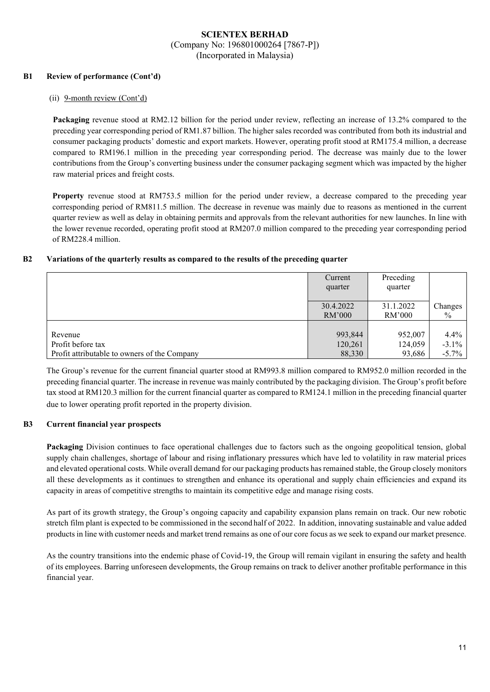### **B1 Review of performance (Cont'd)**

#### (ii) 9-month review (Cont'd)

**Packaging** revenue stood at RM2.12 billion for the period under review, reflecting an increase of 13.2% compared to the preceding year corresponding period of RM1.87 billion. The higher sales recorded was contributed from both its industrial and consumer packaging products' domestic and export markets. However, operating profit stood at RM175.4 million, a decrease compared to RM196.1 million in the preceding year corresponding period. The decrease was mainly due to the lower contributions from the Group's converting business under the consumer packaging segment which was impacted by the higher raw material prices and freight costs.

**Property** revenue stood at RM753.5 million for the period under review, a decrease compared to the preceding year corresponding period of RM811.5 million. The decrease in revenue was mainly due to reasons as mentioned in the current quarter review as well as delay in obtaining permits and approvals from the relevant authorities for new launches. In line with the lower revenue recorded, operating profit stood at RM207.0 million compared to the preceding year corresponding period of RM228.4 million.

### **B2 Variations of the quarterly results as compared to the results of the preceding quarter**

|                                              | Current<br>quarter | Preceding<br>quarter |          |
|----------------------------------------------|--------------------|----------------------|----------|
|                                              | 30.4.2022          | 31.1.2022            | Changes  |
|                                              | RM'000             | RM'000               | $\%$     |
| Revenue                                      | 993,844            | 952,007              | $4.4\%$  |
| Profit before tax                            | 120,261            | 124,059              | $-3.1\%$ |
| Profit attributable to owners of the Company | 88,330             | 93,686               | $-5.7\%$ |

The Group's revenue for the current financial quarter stood at RM993.8 million compared to RM952.0 million recorded in the preceding financial quarter. The increase in revenue was mainly contributed by the packaging division. The Group's profit before tax stood at RM120.3 million for the current financial quarter as compared to RM124.1 million in the preceding financial quarter due to lower operating profit reported in the property division.

### **B3 Current financial year prospects**

**Packaging** Division continues to face operational challenges due to factors such as the ongoing geopolitical tension, global supply chain challenges, shortage of labour and rising inflationary pressures which have led to volatility in raw material prices and elevated operational costs. While overall demand for our packaging products has remained stable, the Group closely monitors all these developments as it continues to strengthen and enhance its operational and supply chain efficiencies and expand its capacity in areas of competitive strengths to maintain its competitive edge and manage rising costs.

As part of its growth strategy, the Group's ongoing capacity and capability expansion plans remain on track. Our new robotic stretch film plant is expected to be commissioned in the second half of 2022. In addition, innovating sustainable and value added products in line with customer needs and market trend remains as one of our core focus as we seek to expand our market presence.

As the country transitions into the endemic phase of Covid-19, the Group will remain vigilant in ensuring the safety and health of its employees. Barring unforeseen developments, the Group remains on track to deliver another profitable performance in this financial year.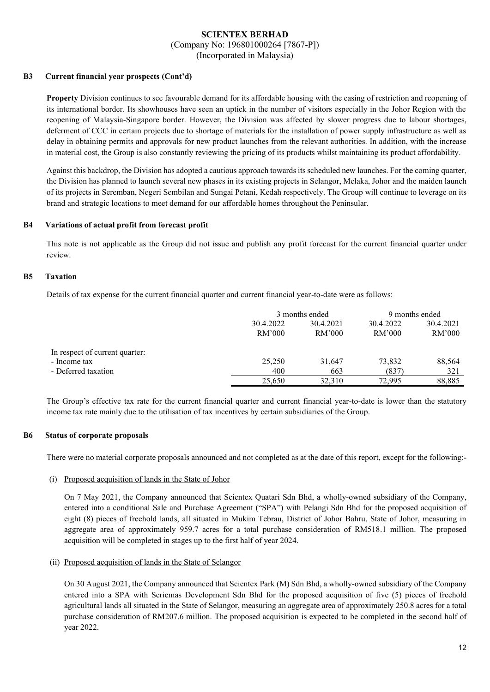(Company No: 196801000264 [7867-P])

(Incorporated in Malaysia)

### **B3 Current financial year prospects (Cont'd)**

**Property** Division continues to see favourable demand for its affordable housing with the easing of restriction and reopening of its international border. Its showhouses have seen an uptick in the number of visitors especially in the Johor Region with the reopening of Malaysia-Singapore border. However, the Division was affected by slower progress due to labour shortages, deferment of CCC in certain projects due to shortage of materials for the installation of power supply infrastructure as well as delay in obtaining permits and approvals for new product launches from the relevant authorities. In addition, with the increase in material cost, the Group is also constantly reviewing the pricing of its products whilst maintaining its product affordability.

Against this backdrop, the Division has adopted a cautious approach towards its scheduled new launches. For the coming quarter, the Division has planned to launch several new phases in its existing projects in Selangor, Melaka, Johor and the maiden launch of its projects in Seremban, Negeri Sembilan and Sungai Petani, Kedah respectively. The Group will continue to leverage on its brand and strategic locations to meet demand for our affordable homes throughout the Peninsular.

### **B4 Variations of actual profit from forecast profit**

This note is not applicable as the Group did not issue and publish any profit forecast for the current financial quarter under review.

### **B5 Taxation**

Details of tax expense for the current financial quarter and current financial year-to-date were as follows:

|                                | 3 months ended |           | 9 months ended |           |
|--------------------------------|----------------|-----------|----------------|-----------|
|                                | 30.4.2022      | 30.4.2021 | 30.4.2022      | 30.4.2021 |
|                                | RM'000         | RM'000    | RM'000         | RM'000    |
| In respect of current quarter: |                |           |                |           |
| - Income tax                   | 25,250         | 31.647    | 73,832         | 88,564    |
| - Deferred taxation            | 400            | 663       | (837)          | 321       |
|                                | 25,650         | 32,310    | 72,995         | 88.885    |

The Group's effective tax rate for the current financial quarter and current financial year-to-date is lower than the statutory income tax rate mainly due to the utilisation of tax incentives by certain subsidiaries of the Group.

### **B6 Status of corporate proposals**

There were no material corporate proposals announced and not completed as at the date of this report, except for the following:-

#### (i) Proposed acquisition of lands in the State of Johor

On 7 May 2021, the Company announced that Scientex Quatari Sdn Bhd, a wholly-owned subsidiary of the Company, entered into a conditional Sale and Purchase Agreement ("SPA") with Pelangi Sdn Bhd for the proposed acquisition of eight (8) pieces of freehold lands, all situated in Mukim Tebrau, District of Johor Bahru, State of Johor, measuring in aggregate area of approximately 959.7 acres for a total purchase consideration of RM518.1 million. The proposed acquisition will be completed in stages up to the first half of year 2024.

(ii) Proposed acquisition of lands in the State of Selangor

On 30 August 2021, the Company announced that Scientex Park (M) Sdn Bhd, a wholly-owned subsidiary of the Company entered into a SPA with Seriemas Development Sdn Bhd for the proposed acquisition of five (5) pieces of freehold agricultural lands all situated in the State of Selangor, measuring an aggregate area of approximately 250.8 acres for a total purchase consideration of RM207.6 million. The proposed acquisition is expected to be completed in the second half of year 2022.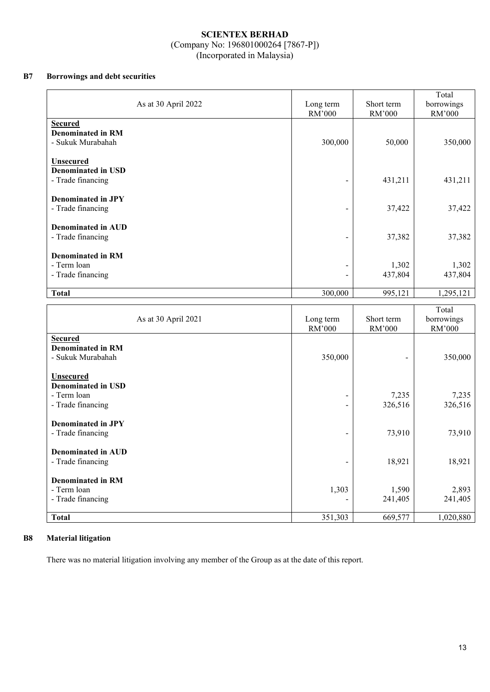### **B7 Borrowings and debt securities**

| As at 30 April 2022                                                | Long term<br>RM'000          | Short term<br>RM'000 | Total<br>borrowings<br>RM'000 |
|--------------------------------------------------------------------|------------------------------|----------------------|-------------------------------|
| <b>Secured</b><br><b>Denominated in RM</b><br>- Sukuk Murabahah    | 300,000                      | 50,000               | 350,000                       |
| <b>Unsecured</b><br><b>Denominated in USD</b><br>- Trade financing |                              | 431,211              | 431,211                       |
| <b>Denominated in JPY</b><br>- Trade financing                     |                              | 37,422               | 37,422                        |
| <b>Denominated in AUD</b><br>- Trade financing                     | -                            | 37,382               | 37,382                        |
| <b>Denominated in RM</b><br>- Term loan<br>- Trade financing       | $\qquad \qquad \blacksquare$ | 1,302<br>437,804     | 1,302<br>437,804              |
| <b>Total</b>                                                       | 300,000                      | 995,121              | 1,295,121                     |

| As at 30 April 2021                                                               | Long term<br>RM'000                                          | Short term<br>RM'000 | Total<br>borrowings<br>RM'000 |
|-----------------------------------------------------------------------------------|--------------------------------------------------------------|----------------------|-------------------------------|
| <b>Secured</b><br><b>Denominated in RM</b><br>- Sukuk Murabahah                   | 350,000                                                      |                      | 350,000                       |
| <b>Unsecured</b><br><b>Denominated in USD</b><br>- Term loan<br>- Trade financing | $\qquad \qquad \blacksquare$<br>$\qquad \qquad \blacksquare$ | 7,235<br>326,516     | 7,235<br>326,516              |
| <b>Denominated in JPY</b><br>- Trade financing                                    |                                                              | 73,910               | 73,910                        |
| Denominated in AUD<br>- Trade financing                                           | -                                                            | 18,921               | 18,921                        |
| <b>Denominated in RM</b><br>- Term loan<br>- Trade financing                      | 1,303                                                        | 1,590<br>241,405     | 2,893<br>241,405              |
| <b>Total</b>                                                                      | 351,303                                                      | 669,577              | 1,020,880                     |

### **B8 Material litigation**

There was no material litigation involving any member of the Group as at the date of this report.